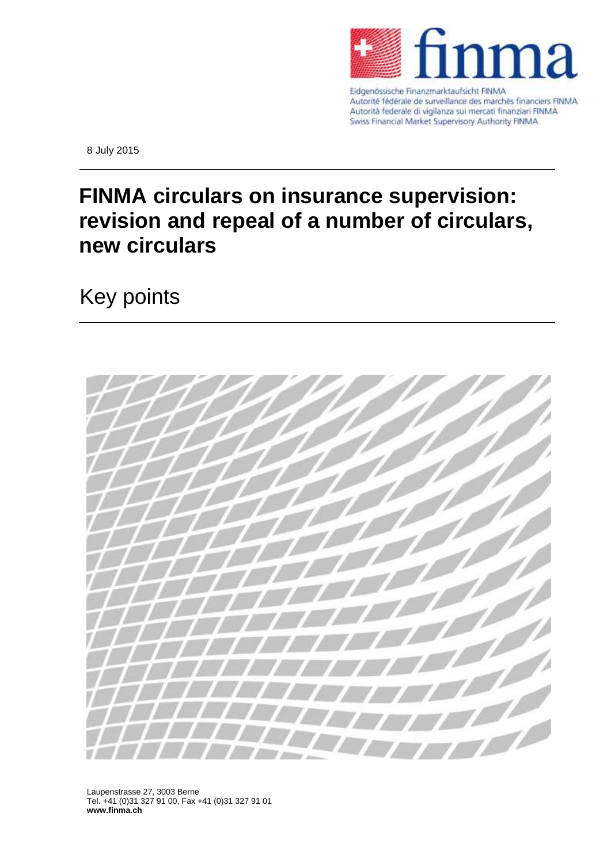

Autorité fédérale de surveillance des marchés financiers FINMA Autorità federale di vigilanza sui mercati finanziari FINMA Swiss Financial Market Supervisory Authority FINMA

8 July 2015

## **FINMA circulars on insurance supervision: revision and repeal of a number of circulars, new circulars**

Key points



Laupenstrasse 27, 3003 Berne Tel. +41 (0)31 327 91 00, Fax +41 (0)31 327 91 01 **www.finma.ch**